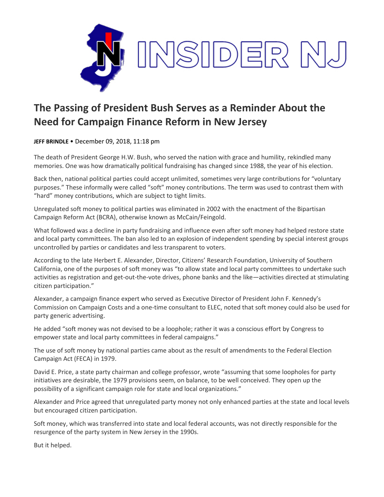

## **The Passing of President Bush Serves as a Reminder About the Need for Campaign Finance Reform in New Jersey**

**JEFF BRINDLE** • December 09, 2018, 11:18 pm

The death of President George H.W. Bush, who served the nation with grace and humility, rekindled many memories. One was how dramatically political fundraising has changed since 1988, the year of his election.

Back then, national political parties could accept unlimited, sometimes very large contributions for "voluntary purposes." These informally were called "soft" money contributions. The term was used to contrast them with "hard" money contributions, which are subject to tight limits.

Unregulated soft money to political parties was eliminated in 2002 with the enactment of the Bipartisan Campaign Reform Act (BCRA), otherwise known as McCain/Feingold.

What followed was a decline in party fundraising and influence even after soft money had helped restore state and local party committees. The ban also led to an explosion of independent spending by special interest groups uncontrolled by parties or candidates and less transparent to voters.

According to the late Herbert E. Alexander, Director, Citizens' Research Foundation, University of Southern California, one of the purposes of soft money was "to allow state and local party committees to undertake such activities as registration and get-out-the-vote drives, phone banks and the like—activities directed at stimulating citizen participation."

Alexander, a campaign finance expert who served as Executive Director of President John F. Kennedy's Commission on Campaign Costs and a one-time consultant to ELEC, noted that soft money could also be used for party generic advertising.

He added "soft money was not devised to be a loophole; rather it was a conscious effort by Congress to empower state and local party committees in federal campaigns."

The use of soft money by national parties came about as the result of amendments to the Federal Election Campaign Act (FECA) in 1979.

David E. Price, a state party chairman and college professor, wrote "assuming that some loopholes for party initiatives are desirable, the 1979 provisions seem, on balance, to be well conceived. They open up the possibility of a significant campaign role for state and local organizations."

Alexander and Price agreed that unregulated party money not only enhanced parties at the state and local levels but encouraged citizen participation.

Soft money, which was transferred into state and local federal accounts, was not directly responsible for the resurgence of the party system in New Jersey in the 1990s.

But it helped.